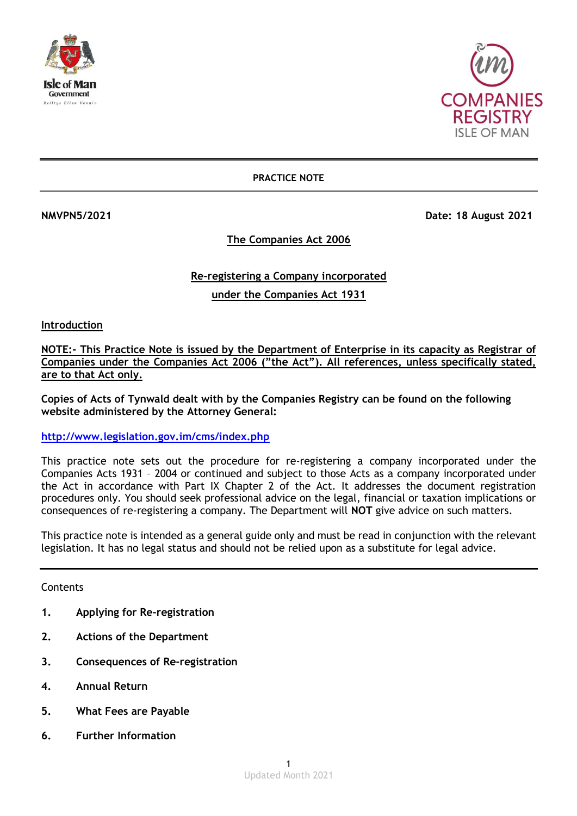



**PRACTICE NOTE**

**NMVPN5/2021 Date: 18 August 2021**

# **The Companies Act 2006**

# **Re-registering a Company incorporated**

**under the Companies Act 1931**

**Introduction**

**NOTE:- This Practice Note is issued by the Department of Enterprise in its capacity as Registrar of Companies under the Companies Act 2006 ("the Act"). All references, unless specifically stated, are to that Act only.**

**Copies of Acts of Tynwald dealt with by the Companies Registry can be found on the following website administered by the Attorney General:**

**<http://www.legislation.gov.im/cms/index.php>**

This practice note sets out the procedure for re-registering a company incorporated under the Companies Acts 1931 – 2004 or continued and subject to those Acts as a company incorporated under the Act in accordance with Part IX Chapter 2 of the Act. It addresses the document registration procedures only. You should seek professional advice on the legal, financial or taxation implications or consequences of re-registering a company. The Department will **NOT** give advice on such matters.

This practice note is intended as a general guide only and must be read in conjunction with the relevant legislation. It has no legal status and should not be relied upon as a substitute for legal advice.

# **Contents**

- **1. Applying for Re-registration**
- **2. Actions of the Department**
- **3. Consequences of Re-registration**
- **4. Annual Return**
- **5. What Fees are Payable**
- **6. Further Information**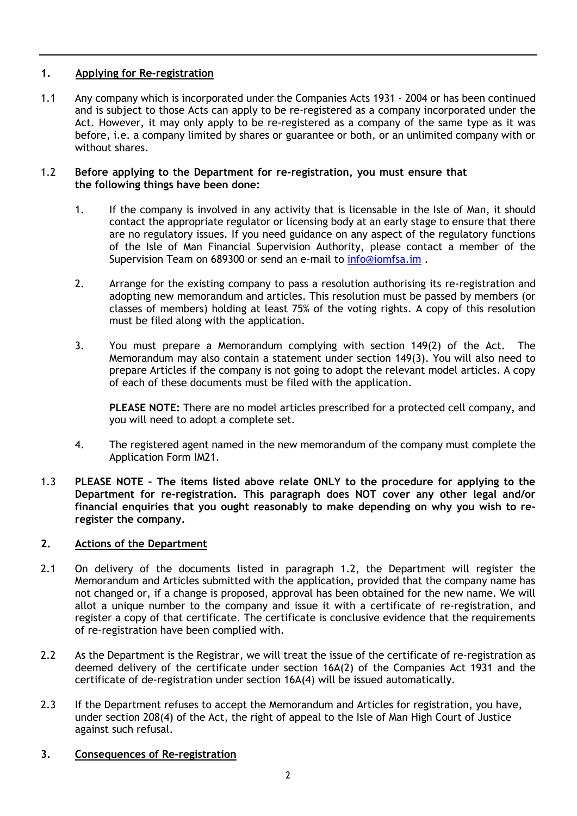# **1. Applying for Re-registration**

1.1 Any company which is incorporated under the Companies Acts 1931 - 2004 or has been continued and is subject to those Acts can apply to be re-registered as a company incorporated under the Act. However, it may only apply to be re-registered as a company of the same type as it was before, i.e. a company limited by shares or guarantee or both, or an unlimited company with or without shares.

#### 1.2 **Before applying to the Department for re-registration, you must ensure that the following things have been done:**

- 1. If the company is involved in any activity that is licensable in the Isle of Man, it should contact the appropriate regulator or licensing body at an early stage to ensure that there are no regulatory issues. If you need guidance on any aspect of the regulatory functions of the Isle of Man Financial Supervision Authority, please contact a member of the Supervision Team on 689300 or send an e-mail to [info@iomfsa.im](mailto:info@iomfsa.im).
- 2. Arrange for the existing company to pass a resolution authorising its re-registration and adopting new memorandum and articles. This resolution must be passed by members (or classes of members) holding at least 75% of the voting rights. A copy of this resolution must be filed along with the application.
- 3. You must prepare a Memorandum complying with section 149(2) of the Act. The Memorandum may also contain a statement under section 149(3). You will also need to prepare Articles if the company is not going to adopt the relevant model articles. A copy of each of these documents must be filed with the application.

**PLEASE NOTE:** There are no model articles prescribed for a protected cell company, and you will need to adopt a complete set.

- 4. The registered agent named in the new memorandum of the company must complete the Application Form IM21.
- 1.3 **PLEASE NOTE – The items listed above relate ONLY to the procedure for applying to the Department for re-registration. This paragraph does NOT cover any other legal and/or financial enquiries that you ought reasonably to make depending on why you wish to reregister the company.**

# **2. Actions of the Department**

- 2.1 On delivery of the documents listed in paragraph 1.2, the Department will register the Memorandum and Articles submitted with the application, provided that the company name has not changed or, if a change is proposed, approval has been obtained for the new name. We will allot a unique number to the company and issue it with a certificate of re-registration, and register a copy of that certificate. The certificate is conclusive evidence that the requirements of re-registration have been complied with.
- 2.2 As the Department is the Registrar, we will treat the issue of the certificate of re-registration as deemed delivery of the certificate under section 16A(2) of the Companies Act 1931 and the certificate of de-registration under section 16A(4) will be issued automatically.
- 2.3 If the Department refuses to accept the Memorandum and Articles for registration, you have, under section 208(4) of the Act, the right of appeal to the Isle of Man High Court of Justice against such refusal.
- **3. Consequences of Re-registration**